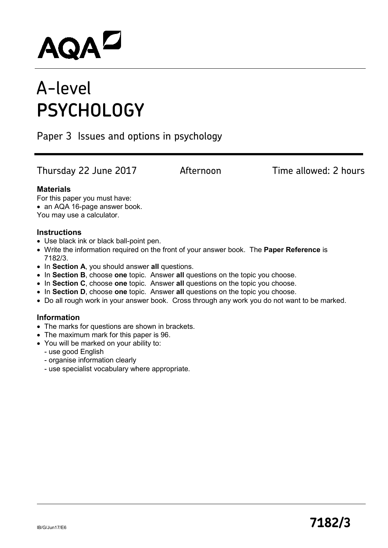# AQAD

# A-level **PSYCHOLOGY**

Paper 3 Issues and options in psychology

Thursday 22 June 2017 **Afternoon** Time allowed: 2 hours

#### **Materials**

For this paper you must have:

• an AQA 16-page answer book.

You may use a calculator.

#### **Instructions**

- Use black ink or black ball-point pen.
- Write the information required on the front of your answer book. The **Paper Reference** is 7182/3.
- In **Section A**, you should answer **all** questions.
- In **Section B**, choose **one** topic. Answer **all** questions on the topic you choose.
- In **Section C**, choose **one** topic. Answer **all** questions on the topic you choose.
- In **Section D**, choose **one** topic. Answer **all** questions on the topic you choose.
- Do all rough work in your answer book. Cross through any work you do not want to be marked.

#### **Information**

- The marks for questions are shown in brackets.
- The maximum mark for this paper is 96.
- You will be marked on your ability to:
	- use good English
	- organise information clearly
	- use specialist vocabulary where appropriate.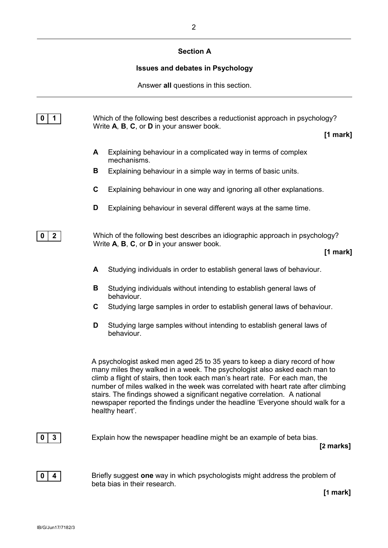# **Section A**

# **Issues and debates in Psychology**

Answer **all** questions in this section.

| 1<br>0          |        | Which of the following best describes a reductionist approach in psychology?<br>Write A, B, C, or D in your answer book.                                                                                                                                                                                                                                                                                                                                                                                       | [1 mark]   |
|-----------------|--------|----------------------------------------------------------------------------------------------------------------------------------------------------------------------------------------------------------------------------------------------------------------------------------------------------------------------------------------------------------------------------------------------------------------------------------------------------------------------------------------------------------------|------------|
|                 | A<br>В | Explaining behaviour in a complicated way in terms of complex<br>mechanisms.<br>Explaining behaviour in a simple way in terms of basic units.                                                                                                                                                                                                                                                                                                                                                                  |            |
|                 | C      | Explaining behaviour in one way and ignoring all other explanations.                                                                                                                                                                                                                                                                                                                                                                                                                                           |            |
|                 | D      | Explaining behaviour in several different ways at the same time.                                                                                                                                                                                                                                                                                                                                                                                                                                               |            |
| $\mathbf{2}$    |        | Which of the following best describes an idiographic approach in psychology?<br>Write A, B, C, or D in your answer book.                                                                                                                                                                                                                                                                                                                                                                                       | [1 mark]   |
|                 | A      | Studying individuals in order to establish general laws of behaviour.                                                                                                                                                                                                                                                                                                                                                                                                                                          |            |
|                 | В      | Studying individuals without intending to establish general laws of<br>behaviour.                                                                                                                                                                                                                                                                                                                                                                                                                              |            |
|                 | C      | Studying large samples in order to establish general laws of behaviour.                                                                                                                                                                                                                                                                                                                                                                                                                                        |            |
|                 | D      | Studying large samples without intending to establish general laws of<br>behaviour.                                                                                                                                                                                                                                                                                                                                                                                                                            |            |
|                 |        | A psychologist asked men aged 25 to 35 years to keep a diary record of how<br>many miles they walked in a week. The psychologist also asked each man to<br>climb a flight of stairs, then took each man's heart rate. For each man, the<br>number of miles walked in the week was correlated with heart rate after climbing<br>stairs. The findings showed a significant negative correlation. A national<br>newspaper reported the findings under the headline 'Everyone should walk for a<br>healthy heart'. |            |
| $3\phantom{.0}$ |        | Explain how the newspaper headline might be an example of beta bias.                                                                                                                                                                                                                                                                                                                                                                                                                                           | [2 marks]  |
| 4               |        | Briefly suggest one way in which psychologists might address the problem of<br>beta bias in their research.                                                                                                                                                                                                                                                                                                                                                                                                    | $[1$ mark] |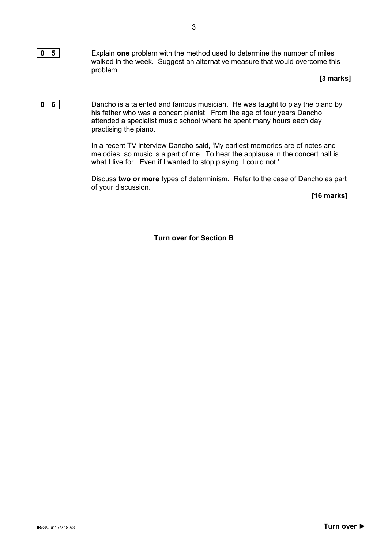**0 5** Explain **one** problem with the method used to determine the number of miles walked in the week. Suggest an alternative measure that would overcome this problem.

#### **[3 marks]**

**0 6** Dancho is a talented and famous musician. He was taught to play the piano by his father who was a concert pianist. From the age of four years Dancho attended a specialist music school where he spent many hours each day practising the piano.

> In a recent TV interview Dancho said, 'My earliest memories are of notes and melodies, so music is a part of me. To hear the applause in the concert hall is what I live for. Even if I wanted to stop playing, I could not.'

Discuss **two or more** types of determinism. Refer to the case of Dancho as part of your discussion.

**[16 marks]**

**Turn over for Section B**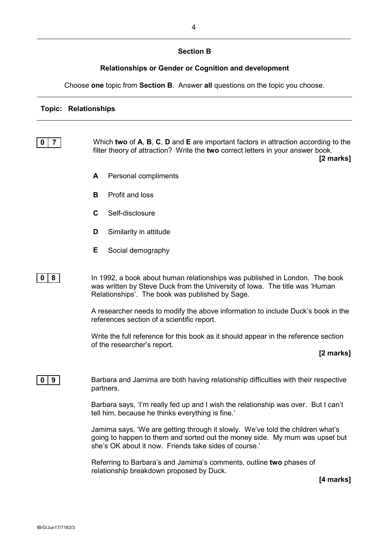## **Section B**

# **Relationships or Gender or Cognition and development**

Choose **one** topic from **Section B**. Answer **all** questions on the topic you choose.

# **Topic: Relationships**

| 7<br>0 | Which two of A, B, C, D and E are important factors in attraction according to the<br>filter theory of attraction? Write the two correct letters in your answer book.<br>[2 marks]                                     |
|--------|------------------------------------------------------------------------------------------------------------------------------------------------------------------------------------------------------------------------|
|        | Personal compliments<br>A                                                                                                                                                                                              |
|        | Profit and loss<br>B                                                                                                                                                                                                   |
|        | C<br>Self-disclosure                                                                                                                                                                                                   |
|        | D<br>Similarity in attitude                                                                                                                                                                                            |
|        | Е<br>Social demography                                                                                                                                                                                                 |
| 8<br>0 | In 1992, a book about human relationships was published in London. The book<br>was written by Steve Duck from the University of Iowa. The title was 'Human<br>Relationships'. The book was published by Sage.          |
|        | A researcher needs to modify the above information to include Duck's book in the<br>references section of a scientific report.                                                                                         |
|        | Write the full reference for this book as it should appear in the reference section<br>of the researcher's report.                                                                                                     |
|        | [2 marks]                                                                                                                                                                                                              |
| 9<br>0 | Barbara and Jamima are both having relationship difficulties with their respective<br>partners.                                                                                                                        |
|        | Barbara says, 'I'm really fed up and I wish the relationship was over. But I can't<br>tell him, because he thinks everything is fine."                                                                                 |
|        | Jamima says, 'We are getting through it slowly. We've told the children what's<br>going to happen to them and sorted out the money side. My mum was upset but<br>she's OK about it now. Friends take sides of course.' |
|        | Referring to Barbara's and Jamima's comments, outline two phases of<br>relationship breakdown proposed by Duck.                                                                                                        |
|        | [4 marks]                                                                                                                                                                                                              |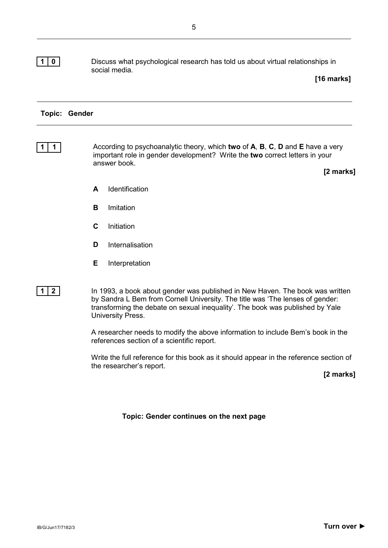#### **1 0** Discuss what psychological research has told us about virtual relationships in social media.

**[16 marks]**

#### **Topic: Gender**

**1 1** According to psychoanalytic theory, which **two** of **A**, **B**, **C**, **D** and **E** have a very important role in gender development? Write the **two** correct letters in your answer book.

**[2 marks]**

- **A** Identification
- **B** Imitation
- **C** Initiation
- **D** Internalisation
- **E** Interpretation
- 

**1 2** In 1993, a book about gender was published in New Haven. The book was written by Sandra L Bem from Cornell University. The title was 'The lenses of gender: transforming the debate on sexual inequality'. The book was published by Yale University Press.

> A researcher needs to modify the above information to include Bem's book in the references section of a scientific report.

Write the full reference for this book as it should appear in the reference section of the researcher's report.

**[2 marks]**

#### **Topic: Gender continues on the next page**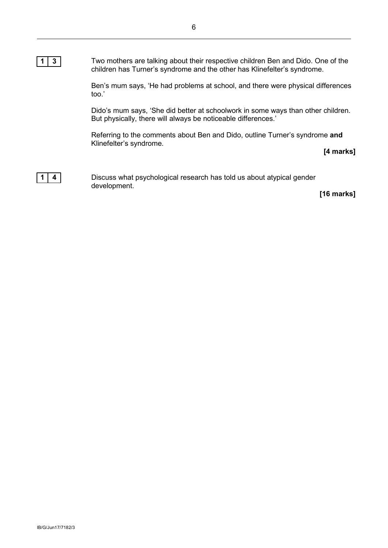#### **1 3** Two mothers are talking about their respective children Ben and Dido. One of the children has Turner's syndrome and the other has Klinefelter's syndrome.

Ben's mum says, 'He had problems at school, and there were physical differences too.'

Dido's mum says, 'She did better at schoolwork in some ways than other children. But physically, there will always be noticeable differences.'

Referring to the comments about Ben and Dido, outline Turner's syndrome **and** Klinefelter's syndrome.

**[4 marks]**



**1 4** Discuss what psychological research has told us about atypical gender development.

**[16 marks]**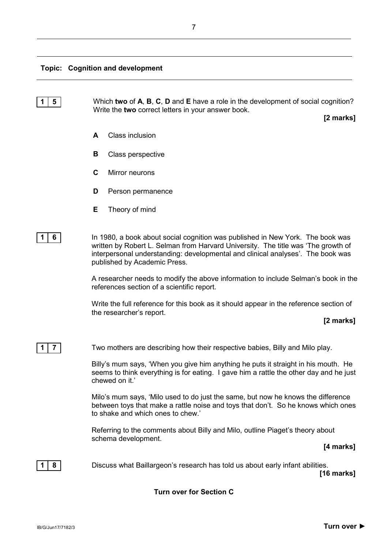

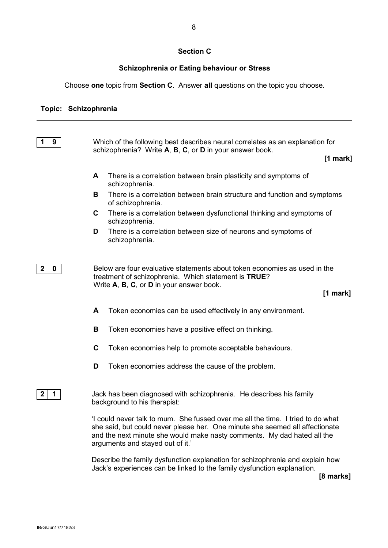#### **Section C**

#### **Schizophrenia or Eating behaviour or Stress**

Choose **one** topic from **Section C**. Answer **all** questions on the topic you choose.

#### **Topic: Schizophrenia**

| 9                | Which of the following best describes neural correlates as an explanation for<br>schizophrenia? Write A, B, C, or D in your answer book.                                                                                                                                       |                                                                                                                                                                               |            |
|------------------|--------------------------------------------------------------------------------------------------------------------------------------------------------------------------------------------------------------------------------------------------------------------------------|-------------------------------------------------------------------------------------------------------------------------------------------------------------------------------|------------|
|                  |                                                                                                                                                                                                                                                                                |                                                                                                                                                                               | $[1$ mark] |
|                  | A                                                                                                                                                                                                                                                                              | There is a correlation between brain plasticity and symptoms of<br>schizophrenia.                                                                                             |            |
|                  | в                                                                                                                                                                                                                                                                              | There is a correlation between brain structure and function and symptoms<br>of schizophrenia.                                                                                 |            |
|                  | $\mathbf{C}$                                                                                                                                                                                                                                                                   | There is a correlation between dysfunctional thinking and symptoms of<br>schizophrenia.                                                                                       |            |
|                  | D                                                                                                                                                                                                                                                                              | There is a correlation between size of neurons and symptoms of<br>schizophrenia.                                                                                              |            |
| $\mathbf 0$<br>2 |                                                                                                                                                                                                                                                                                | Below are four evaluative statements about token economies as used in the<br>treatment of schizophrenia. Which statement is TRUE?<br>Write A, B, C, or D in your answer book. | $[1$ mark] |
|                  | A                                                                                                                                                                                                                                                                              | Token economies can be used effectively in any environment.                                                                                                                   |            |
|                  | B                                                                                                                                                                                                                                                                              | Token economies have a positive effect on thinking.                                                                                                                           |            |
|                  | $\mathbf C$                                                                                                                                                                                                                                                                    | Token economies help to promote acceptable behaviours.                                                                                                                        |            |
|                  | D                                                                                                                                                                                                                                                                              | Token economies address the cause of the problem.                                                                                                                             |            |
| 1<br>2           |                                                                                                                                                                                                                                                                                | Jack has been diagnosed with schizophrenia. He describes his family<br>background to his therapist:                                                                           |            |
|                  | 'I could never talk to mum. She fussed over me all the time. I tried to do what<br>she said, but could never please her. One minute she seemed all affectionate<br>and the next minute she would make nasty comments. My dad hated all the<br>arguments and stayed out of it.' |                                                                                                                                                                               |            |
|                  |                                                                                                                                                                                                                                                                                |                                                                                                                                                                               |            |

Describe the family dysfunction explanation for schizophrenia and explain how Jack's experiences can be linked to the family dysfunction explanation.

**[8 marks]**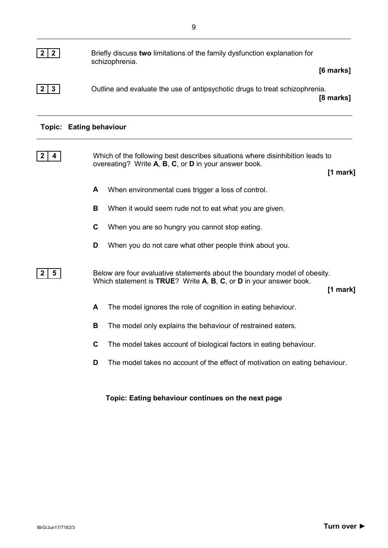| $\mathbf{2}$ | Briefly discuss two limitations of the family dysfunction explanation for<br>schizophrenia.           |
|--------------|-------------------------------------------------------------------------------------------------------|
| -3           | [6 marks]<br>Outline and evaluate the use of antipsychotic drugs to treat schizophrenia.<br>[8 marks] |
|              | <b>Topic: Eating behaviour</b>                                                                        |
|              | Which of the following best describes situations where disinhibition leads to                         |

| <u>VEHICLE OF this rollowing best assumes situations which clisifilmontron is an</u> |            |
|--------------------------------------------------------------------------------------|------------|
| overeating? Write A, B, C, or D in your answer book.                                 |            |
|                                                                                      | $[1$ mark] |

- **A** When environmental cues trigger a loss of control.
- **B** When it would seem rude not to eat what you are given.
- **C** When you are so hungry you cannot stop eating.
- **D** When you do not care what other people think about you.

**2 5** Below are four evaluative statements about the boundary model of obesity. Which statement is **TRUE**? Write **A**, **B**, **C**, or **D** in your answer book.

**[1 mark]**

- **A** The model ignores the role of cognition in eating behaviour.
- **B** The model only explains the behaviour of restrained eaters.
- **C** The model takes account of biological factors in eating behaviour.
- **D** The model takes no account of the effect of motivation on eating behaviour.

**Topic: Eating behaviour continues on the next page**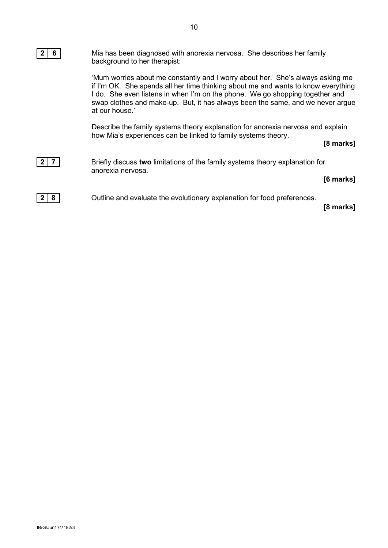| ь | Mia has been diagnosed with anorexia nervosa. She describes her family<br>background to her therapist:                                                                                                                                                                                                                                                  |
|---|---------------------------------------------------------------------------------------------------------------------------------------------------------------------------------------------------------------------------------------------------------------------------------------------------------------------------------------------------------|
|   | 'Mum worries about me constantly and I worry about her. She's always asking me<br>if I'm OK. She spends all her time thinking about me and wants to know everything<br>I do. She even listens in when I'm on the phone. We go shopping together and<br>swap clothes and make-up. But, it has always been the same, and we never argue<br>at our house.' |
|   | Describe the family systems theory explanation for anorexia nervosa and explain<br>how Mia's experiences can be linked to family systems theory.<br>[8 marks]                                                                                                                                                                                           |
|   | Briefly discuss two limitations of the family systems theory explanation for<br>anorexia nervosa.<br>[6 marks]                                                                                                                                                                                                                                          |
|   | Outline and evaluate the evolutionary explanation for food preferences.<br>[8 marks]                                                                                                                                                                                                                                                                    |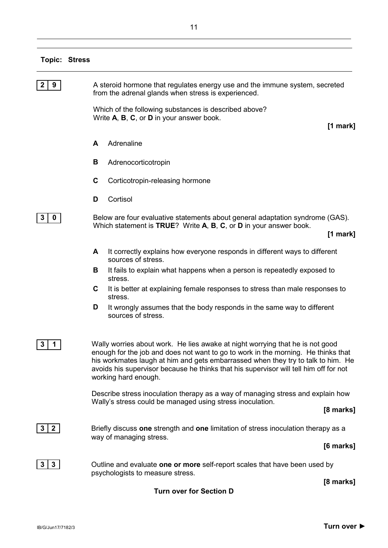# **Topic: Stress**

| 9                   | A steroid hormone that regulates energy use and the immune system, secreted<br>from the adrenal glands when stress is experienced.                                                                                                                                                                                                                                      |  |  |
|---------------------|-------------------------------------------------------------------------------------------------------------------------------------------------------------------------------------------------------------------------------------------------------------------------------------------------------------------------------------------------------------------------|--|--|
|                     | Which of the following substances is described above?<br>Write A, B, C, or D in your answer book.<br>$[1$ mark]                                                                                                                                                                                                                                                         |  |  |
|                     | Adrenaline<br>A                                                                                                                                                                                                                                                                                                                                                         |  |  |
|                     | В<br>Adrenocorticotropin                                                                                                                                                                                                                                                                                                                                                |  |  |
|                     | C<br>Corticotropin-releasing hormone                                                                                                                                                                                                                                                                                                                                    |  |  |
|                     | Cortisol<br>D                                                                                                                                                                                                                                                                                                                                                           |  |  |
| 3<br>$\mathbf 0$    | Below are four evaluative statements about general adaptation syndrome (GAS).<br>Which statement is TRUE? Write A, B, C, or D in your answer book.<br>$[1$ mark]                                                                                                                                                                                                        |  |  |
|                     | It correctly explains how everyone responds in different ways to different<br>A<br>sources of stress.                                                                                                                                                                                                                                                                   |  |  |
|                     | It fails to explain what happens when a person is repeatedly exposed to<br>В<br>stress.                                                                                                                                                                                                                                                                                 |  |  |
|                     | It is better at explaining female responses to stress than male responses to<br>C<br>stress.                                                                                                                                                                                                                                                                            |  |  |
|                     | It wrongly assumes that the body responds in the same way to different<br>D<br>sources of stress.                                                                                                                                                                                                                                                                       |  |  |
| 3<br>1              | Wally worries about work. He lies awake at night worrying that he is not good<br>enough for the job and does not want to go to work in the morning. He thinks that<br>his workmates laugh at him and gets embarrassed when they try to talk to him. He<br>avoids his supervisor because he thinks that his supervisor will tell him off for not<br>working hard enough. |  |  |
|                     | Describe stress inoculation therapy as a way of managing stress and explain how<br>Wally's stress could be managed using stress inoculation.<br>[8 marks]                                                                                                                                                                                                               |  |  |
| $\mathbf{2}$        | Briefly discuss one strength and one limitation of stress inoculation therapy as a<br>way of managing stress.                                                                                                                                                                                                                                                           |  |  |
|                     | [6 marks]                                                                                                                                                                                                                                                                                                                                                               |  |  |
| $3\phantom{a}$<br>3 | Outline and evaluate one or more self-report scales that have been used by<br>psychologists to measure stress.                                                                                                                                                                                                                                                          |  |  |
|                     | [8 marks]                                                                                                                                                                                                                                                                                                                                                               |  |  |

**Turn over for Section D**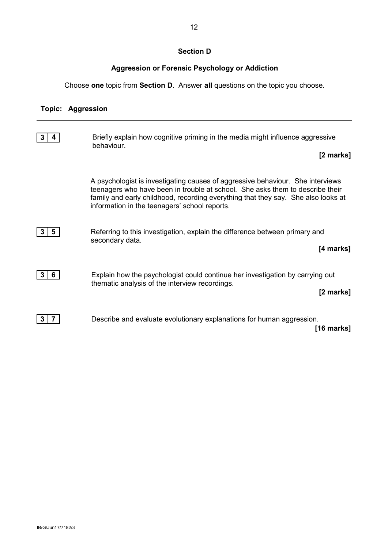# **Section D**

# **Aggression or Forensic Psychology or Addiction**

Choose **one** topic from **Section D**. Answer **all** questions on the topic you choose.

# **Topic: Aggression**

|    | Briefly explain how cognitive priming in the media might influence aggressive<br>behaviour.                                                                                                                                                                                                           |
|----|-------------------------------------------------------------------------------------------------------------------------------------------------------------------------------------------------------------------------------------------------------------------------------------------------------|
|    | [2 marks]                                                                                                                                                                                                                                                                                             |
|    | A psychologist is investigating causes of aggressive behaviour. She interviews<br>teenagers who have been in trouble at school. She asks them to describe their<br>family and early childhood, recording everything that they say. She also looks at<br>information in the teenagers' school reports. |
| 5  | Referring to this investigation, explain the difference between primary and<br>secondary data.<br>[4 marks]                                                                                                                                                                                           |
| 6. | Explain how the psychologist could continue her investigation by carrying out<br>thematic analysis of the interview recordings.<br>[2 marks]                                                                                                                                                          |
|    | Describe and evaluate evolutionary explanations for human aggression.<br>$[16$ marks]                                                                                                                                                                                                                 |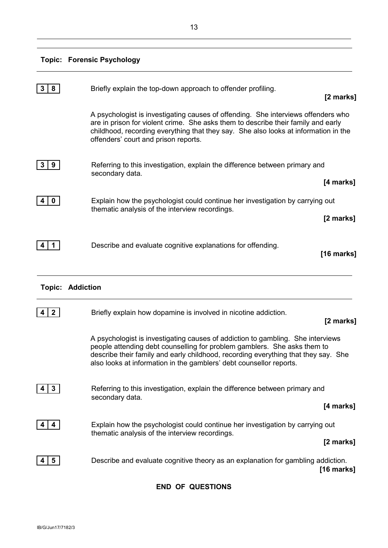# **Topic: Forensic Psychology**

| 8                          | Briefly explain the top-down approach to offender profiling.                                                                                                                                                                                                                                                             | [2 marks]  |
|----------------------------|--------------------------------------------------------------------------------------------------------------------------------------------------------------------------------------------------------------------------------------------------------------------------------------------------------------------------|------------|
|                            | A psychologist is investigating causes of offending. She interviews offenders who<br>are in prison for violent crime. She asks them to describe their family and early<br>childhood, recording everything that they say. She also looks at information in the<br>offenders' court and prison reports.                    |            |
| 3<br>9                     | Referring to this investigation, explain the difference between primary and<br>secondary data.                                                                                                                                                                                                                           |            |
|                            |                                                                                                                                                                                                                                                                                                                          | [4 marks]  |
| $\mathbf 0$<br>4           | Explain how the psychologist could continue her investigation by carrying out<br>thematic analysis of the interview recordings.                                                                                                                                                                                          |            |
|                            |                                                                                                                                                                                                                                                                                                                          | [2 marks]  |
| 1                          | Describe and evaluate cognitive explanations for offending.                                                                                                                                                                                                                                                              | [16 marks] |
| Topic:<br><b>Addiction</b> |                                                                                                                                                                                                                                                                                                                          |            |
| $\mathbf{2}$               | Briefly explain how dopamine is involved in nicotine addiction.                                                                                                                                                                                                                                                          | [2 marks]  |
|                            | A psychologist is investigating causes of addiction to gambling. She interviews<br>people attending debt counselling for problem gamblers. She asks them to<br>describe their family and early childhood, recording everything that they say. She<br>also looks at information in the gamblers' debt counsellor reports. |            |
| $3\phantom{a}$             | Referring to this investigation, explain the difference between primary and<br>secondary data.                                                                                                                                                                                                                           |            |
|                            |                                                                                                                                                                                                                                                                                                                          | [4 marks]  |
| 4                          | Explain how the psychologist could continue her investigation by carrying out                                                                                                                                                                                                                                            |            |
|                            | thematic analysis of the interview recordings.                                                                                                                                                                                                                                                                           | [2 marks]  |
| 5                          | Describe and evaluate cognitive theory as an explanation for gambling addiction.                                                                                                                                                                                                                                         | [16 marks] |
|                            |                                                                                                                                                                                                                                                                                                                          |            |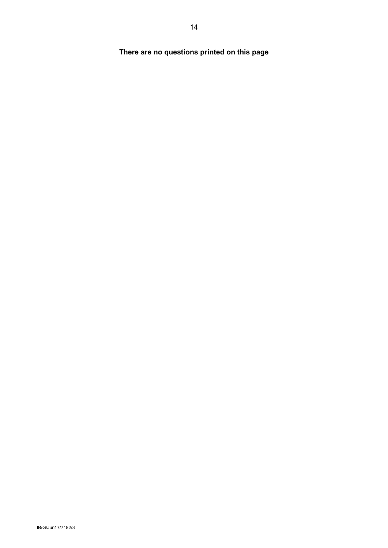# **There are no questions printed on this page**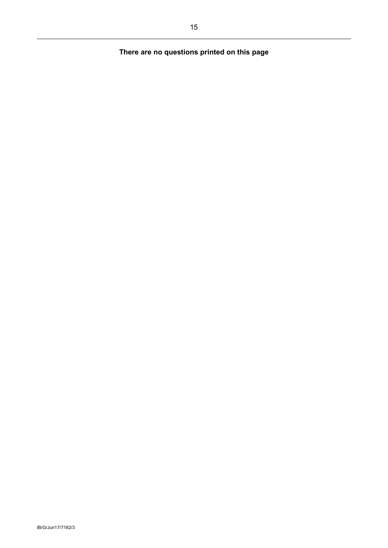# **There are no questions printed on this page**